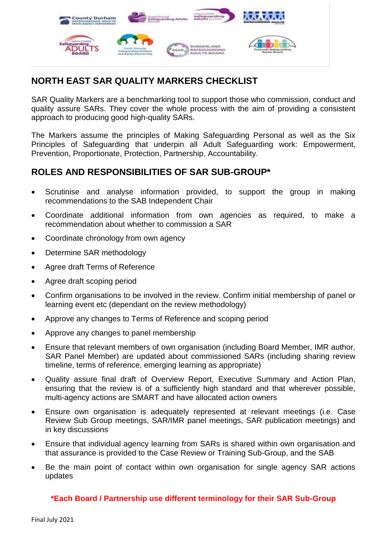

# **NORTH EAST SAR QUALITY MARKERS CHECKLIST**

SAR Quality Markers are a benchmarking tool to support those who commission, conduct and quality assure SARs. They cover the whole process with the aim of providing a consistent approach to producing good high-quality SARs.

The Markers assume the principles of Making Safeguarding Personal as well as the Six Principles of Safeguarding that underpin all Adult Safeguarding work: Empowerment, Prevention, Proportionate, Protection, Partnership, Accountability.

# **ROLES AND RESPONSIBILITIES OF SAR SUB-GROUP\***

- Scrutinise and analyse information provided, to support the group in making recommendations to the SAB Independent Chair
- Coordinate additional information from own agencies as required, to make a recommendation about whether to commission a SAR
- Coordinate chronology from own agency
- Determine SAR methodology
- Agree draft Terms of Reference
- Agree draft scoping period
- Confirm organisations to be involved in the review. Confirm initial membership of panel or learning event etc (dependant on the review methodology)
- Approve any changes to Terms of Reference and scoping period
- Approve any changes to panel membership
- Ensure that relevant members of own organisation (including Board Member, IMR author, SAR Panel Member) are updated about commissioned SARs (including sharing review timeline, terms of reference, emerging learning as appropriate)
- Quality assure final draft of Overview Report, Executive Summary and Action Plan, ensuring that the review is of a sufficiently high standard and that wherever possible, multi-agency actions are SMART and have allocated action owners
- Ensure own organisation is adequately represented at relevant meetings (i.e. Case Review Sub Group meetings, SAR/IMR panel meetings, SAR publication meetings) and in key discussions
- Ensure that individual agency learning from SARs is shared within own organisation and that assurance is provided to the Case Review or Training Sub-Group, and the SAB
- Be the main point of contact within own organisation for single agency SAR actions updates

**\*Each Board / Partnership use different terminology for their SAR Sub-Group**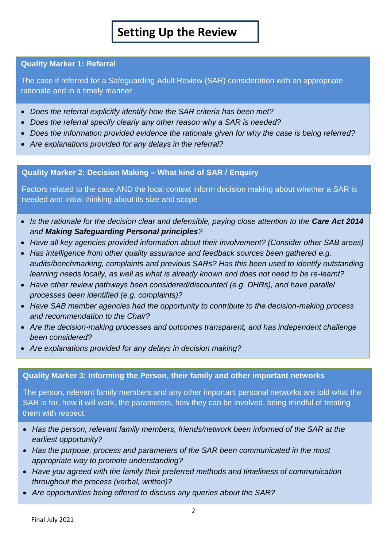# **Setting Up the Review**

# **Quality Marker 1: Referral**

The case if referred for a Safeguarding Adult Review (SAR) consideration with an appropriate rationale and in a timely manner

- *Does the referral explicitly identify how the SAR criteria has been met?*
- *Does the referral specify clearly any other reason why a SAR is needed?*
- *Does the information provided evidence the rationale given for why the case is being referred?*
- *Are explanations provided for any delays in the referral?*

# **Quality Marker 2: Decision Making – What kind of SAR / Enquiry**

Factors related to the case AND the local context inform decision making about whether a SAR is needed and initial thinking about its size and scope

- Is the rationale for the decision clear and defensible, paying close attention to the **Care Act 2014** *and Making Safeguarding Personal principles?*
- *Have all key agencies provided information about their involvement? (Consider other SAB areas)*
- *Has intelligence from other quality assurance and feedback sources been gathered e.g. audits/benchmarking, complaints and previous SARs? Has this been used to identify outstanding learning needs locally, as well as what is already known and does not need to be re-learnt?*
- *Have other review pathways been considered/discounted (e.g. DHRs), and have parallel processes been identified (e.g. complaints)?*
- *Have SAB member agencies had the opportunity to contribute to the decision-making process and recommendation to the Chair?*
- *Are the decision-making processes and outcomes transparent, and has independent challenge been considered?*
- *Are explanations provided for any delays in decision making?*

# **Quality Marker 3: Informing the Person, their family and other important networks**

The person, relevant family members and any other important personal networks are told what the SAR is for, how it will work, the parameters, how they can be involved, being mindful of treating them with respect.

- *Has the person, relevant family members, friends/network been informed of the SAR at the earliest opportunity?*
- *Has the purpose, process and parameters of the SAR been communicated in the most appropriate way to promote understanding?*
- *Have you agreed with the family their preferred methods and timeliness of communication throughout the process (verbal, written)?*
- *Are opportunities being offered to discuss any queries about the SAR?*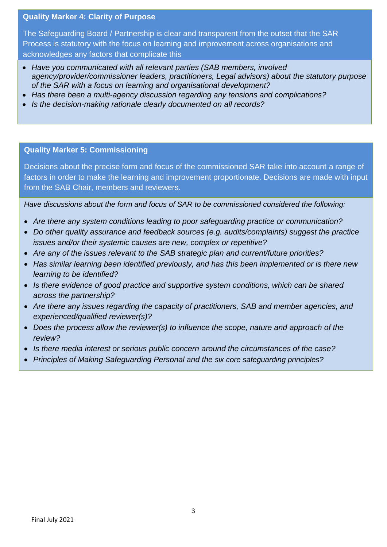#### **Quality Marker 4: Clarity of Purpose**

The Safeguarding Board / Partnership is clear and transparent from the outset that the SAR Process is statutory with the focus on learning and improvement across organisations and acknowledges any factors that complicate this

- *Have you communicated with all relevant parties (SAB members, involved agency/provider/commissioner leaders, practitioners, Legal advisors) about the statutory purpose of the SAR with a focus on learning and organisational development?*
- *Has there been a multi-agency discussion regarding any tensions and complications?*
- *Is the decision-making rationale clearly documented on all records?*

#### **Quality Marker 5: Commissioning**

Decisions about the precise form and focus of the commissioned SAR take into account a range of factors in order to make the learning and improvement proportionate. Decisions are made with input from the SAB Chair, members and reviewers.

*Have discussions about the form and focus of SAR to be commissioned considered the following:*

- *Are there any system conditions leading to poor safeguarding practice or communication?*
- *Do other quality assurance and feedback sources (e.g. audits/complaints) suggest the practice issues and/or their systemic causes are new, complex or repetitive?*
- *Are any of the issues relevant to the SAB strategic plan and current/future priorities?*
- *Has similar learning been identified previously, and has this been implemented or is there new learning to be identified?*
- *Is there evidence of good practice and supportive system conditions, which can be shared across the partnership?*
- *Are there any issues regarding the capacity of practitioners, SAB and member agencies, and experienced/qualified reviewer(s)?*
- Does the process allow the reviewer(s) to influence the scope, nature and approach of the *review?*
- *Is there media interest or serious public concern around the circumstances of the case?*
- *Principles of Making Safeguarding Personal and the six core safeguarding principles?*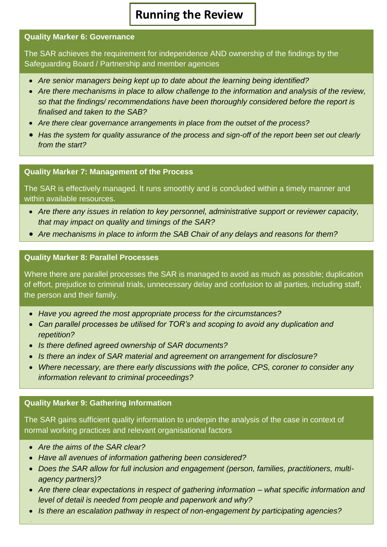# **Running the Review**

#### **Quality Marker 6: Governance**

The SAR achieves the requirement for independence AND ownership of the findings by the Safeguarding Board / Partnership and member agencies

- *Are senior managers being kept up to date about the learning being identified?*
- *Are there mechanisms in place to allow challenge to the information and analysis of the review, so that the findings/ recommendations have been thoroughly considered before the report is finalised and taken to the SAB?*
- *Are there clear governance arrangements in place from the outset of the process?*
- *Has the system for quality assurance of the process and sign-off of the report been set out clearly from the start?*

#### **Quality Marker 7: Management of the Process**

The SAR is effectively managed. It runs smoothly and is concluded within a timely manner and within available resources.

- *Are there any issues in relation to key personnel, administrative support or reviewer capacity, that may impact on quality and timings of the SAR?*
- *Are mechanisms in place to inform the SAB Chair of any delays and reasons for them?*

#### **Quality Marker 8: Parallel Processes**

Where there are parallel processes the SAR is managed to avoid as much as possible; duplication of effort, prejudice to criminal trials, unnecessary delay and confusion to all parties, including staff, the person and their family.

- *Have you agreed the most appropriate process for the circumstances?*
- *Can parallel processes be utilised for TOR's and scoping to avoid any duplication and repetition?*
- *Is there defined agreed ownership of SAR documents?*
- *Is there an index of SAR material and agreement on arrangement for disclosure?*
- *Where necessary, are there early discussions with the police, CPS, coroner to consider any information relevant to criminal proceedings?*

# **Quality Marker 9: Gathering Information**

The SAR gains sufficient quality information to underpin the analysis of the case in context of normal working practices and relevant organisational factors

*Are the aims of the SAR clear?*

Final July 2021

 $\overline{a}$ 

I

- *Have all avenues of information gathering been considered?*
- *Does the SAR allow for full inclusion and engagement (person, families, practitioners, multiagency partners)?*
- *Are there clear expectations in respect of gathering information – what specific information and level of detail is needed from people and paperwork and why?*
- 4 *Is there an escalation pathway in respect of non-engagement by participating agencies?*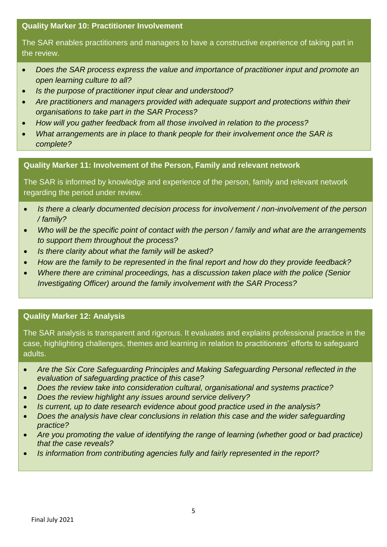# **Quality Marker 10: Practitioner Involvement**

The SAR enables practitioners and managers to have a constructive experience of taking part in the review.

- *Does the SAR process express the value and importance of practitioner input and promote an open learning culture to all?*
- *Is the purpose of practitioner input clear and understood?*
- *Are practitioners and managers provided with adequate support and protections within their organisations to take part in the SAR Process?*
- *How will you gather feedback from all those involved in relation to the process?*
- *What arrangements are in place to thank people for their involvement once the SAR is complete?*

**Quality Marker 11: Involvement of the Person, Family and relevant network**

The SAR is informed by knowledge and experience of the person, family and relevant network regarding the period under review.

- *Is there a clearly documented decision process for involvement / non-involvement of the person / family?*
- *Who will be the specific point of contact with the person / family and what are the arrangements to support them throughout the process?*
- *Is there clarity about what the family will be asked?*
- *How are the family to be represented in the final report and how do they provide feedback?*
- *Where there are criminal proceedings, has a discussion taken place with the police (Senior Investigating Officer) around the family involvement with the SAR Process?*

# **Quality Marker 12: Analysis**

L

The SAR analysis is transparent and rigorous. It evaluates and explains professional practice in the case, highlighting challenges, themes and learning in relation to practitioners' efforts to safeguard adults.

- *Are the Six Core Safeguarding Principles and Making Safeguarding Personal reflected in the evaluation of safeguarding practice of this case?*
- *Does the review take into consideration cultural, organisational and systems practice?*
- *Does the review highlight any issues around service delivery?*
- *Is current, up to date research evidence about good practice used in the analysis?*
- *Does the analysis have clear conclusions in relation this case and the wider safeguarding practice?*
- *Are you promoting the value of identifying the range of learning (whether good or bad practice) that the case reveals?*
- *Is information from contributing agencies fully and fairly represented in the report?*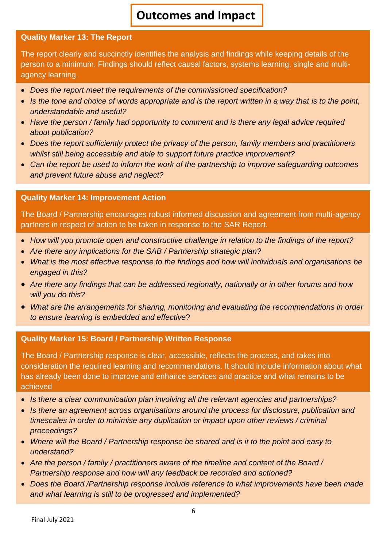# **Outcomes and Impact**

## **Quality Marker 13: The Report**

The report clearly and succinctly identifies the analysis and findings while keeping details of the person to a minimum. Findings should reflect causal factors, systems learning, single and multiagency learning.

- *Does the report meet the requirements of the commissioned specification?*
- Is the tone and choice of words appropriate and is the report written in a way that is to the point, *understandable and useful?*
- *Have the person / family had opportunity to comment and is there any legal advice required about publication?*
- *Does the report sufficiently protect the privacy of the person, family members and practitioners whilst still being accessible and able to support future practice improvement?*
- *Can the report be used to inform the work of the partnership to improve safeguarding outcomes and prevent future abuse and neglect?*

#### **Quality Marker 14: Improvement Action**

The Board / Partnership encourages robust informed discussion and agreement from multi-agency partners in respect of action to be taken in response to the SAR Report.

- *How will you promote open and constructive challenge in relation to the findings of the report?*
- *Are there any implications for the SAB / Partnership strategic plan?*
- *What is the most effective response to the findings and how will individuals and organisations be engaged in this?*
- *Are there any findings that can be addressed regionally, nationally or in other forums and how will you do this*?
- *What are the arrangements for sharing, monitoring and evaluating the recommendations in order to ensure learning is embedded and effective*?

# **Quality Marker 15: Board / Partnership Written Response**

The Board / Partnership response is clear, accessible, reflects the process, and takes into consideration the required learning and recommendations. It should include information about what has already been done to improve and enhance services and practice and what remains to be achieved

- *Is there a clear communication plan involving all the relevant agencies and partnerships?*
- Is there an agreement across organisations around the process for disclosure, publication and *timescales in order to minimise any duplication or impact upon other reviews / criminal proceedings?*
- *Where will the Board / Partnership response be shared and is it to the point and easy to understand?*
- *Are the person / family / practitioners aware of the timeline and content of the Board / Partnership response and how will any feedback be recorded and actioned?*
- *Does the Board /Partnership response include reference to what improvements have been made and what learning is still to be progressed and implemented?*